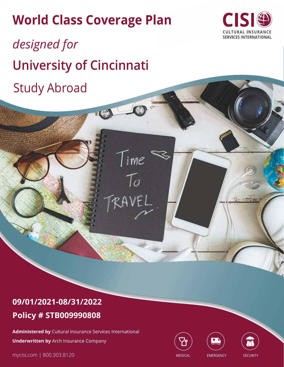# **World Class Coverage Plan**

Time

 $\mathcal{T}_{\scriptscriptstyle O}$ 

RAVEL



*designed for*  **University of Cincinnati** Study Abroad

## **09/01/2021-08/31/2022 Policy # STB009990808**

**Administered by** Cultural Insurance Services International **Underwritten by** Arch Insurance Company

mycisi.com | 800.303.8120





MEDICAL EMERGENCY SECURITY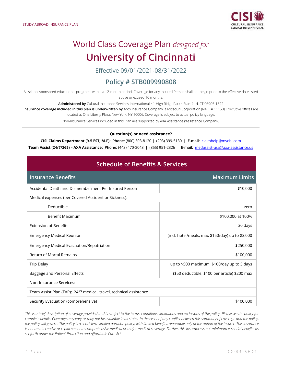

## World Class Coverage Plan *designed for* **University of Cincinnati**

Effective 09/01/2021-08/31/2022

### **Policy # STB009990808**

All school sponsored educational programs within a 12-month period. Coverage for any Insured Person shall not begin prior to the effective date listed above or exceed 10 months.

**Administered by** Cultural Insurance Services International • 1 High Ridge Park • Stamford, CT 06905-1322

**Insurance coverage included in this plan is underwritten by** Arch Insurance Company, a Missouri Corporation (NAIC # 11150), Executive offices are

located at One Liberty Plaza, New York, NY 10006, Coverage is subject to actual policy language.

Non-Insurance Services included in this Plan are supported by AXA Assistance ('Assistance Company')

### **Question(s) or need assistance?**

**CISI Claims Department (9-5 EST, M-F): Phone**: (800) 303-8120 **|** (203) 399-5130 **| E-mail**: [claimhelp@mycisi.com](mailto:claimhelp@mycisi.com)

**Team Assist (24/7/365) – AXA Assistance: Phone:** (443) 470-3043 **|** (855) 951-2326 **| E-mail:** [medassist-usa@axa-assistance.us](mailto:medassist-usa@axa-assistance.us)

### **Schedule of Benefits & Services**

| <b>Insurance Benefits</b>                                          | <b>Maximum Limits</b>                            |  |  |
|--------------------------------------------------------------------|--------------------------------------------------|--|--|
| Accidental Death and Dismemberment Per Insured Person              | \$10,000                                         |  |  |
| Medical expenses (per Covered Accident or Sickness):               |                                                  |  |  |
| Deductible                                                         | zero                                             |  |  |
| Benefit Maximum                                                    | \$100,000 at 100%                                |  |  |
| <b>Extension of Benefits</b>                                       | 30 days                                          |  |  |
| <b>Emergency Medical Reunion</b>                                   | (incl. hotel/meals, max \$150/day) up to \$3,000 |  |  |
| Emergency Medical Evacuation/Repatriation                          | \$250,000                                        |  |  |
| <b>Return of Mortal Remains</b>                                    | \$100,000                                        |  |  |
| <b>Trip Delay</b>                                                  | up to \$500 maximum, \$100/day up to 5 days      |  |  |
| Baggage and Personal Effects                                       | (\$50 deductible, \$100 per article) \$200 max   |  |  |
| <b>Non-Insurance Services:</b>                                     |                                                  |  |  |
| Team Assist Plan (TAP): 24/7 medical, travel, technical assistance |                                                  |  |  |
| Security Evacuation (comprehensive)                                | \$100,000                                        |  |  |

*This is a brief description of coverage provided and is subject to the terms, conditions, limitations and exclusions of the policy. Please see the policy for*  complete details. Coverage may vary or may not be available in all states. In the event of any conflict between this summary of coverage and the policy, *the policy will govern. The policy is a short-term limited duration policy, with limited benefits, renewable only at the option of the insurer. This insurance is not an alternative or replacement to comprehensive medical or major medical coverage. Further, this insurance is not minimum essential benefits as set forth under the Patient Protection and Affordable Care Act.*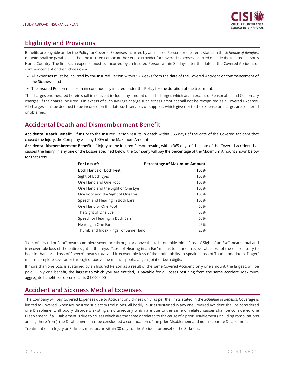

### **Eligibility and Provisions**

Benefits are payable under the Policy for Covered Expenses incurred by an Insured Person for the items stated in the *Schedule of Benefits*. Benefits shall be payable to either the Insured Person or the Service Provider for Covered Expenses incurred outside the Insured Person's Home Country. The first such expense must be incurred by an Insured Person within 30 days after the date of the Covered Accident or commencement of the Sickness; and

- All expenses must be incurred by the Insured Person within 52 weeks from the date of the Covered Accident or commencement of the Sickness; and
- The Insured Person must remain continuously insured under the Policy for the duration of the treatment.

The charges enumerated herein shall in no event include any amount of such charges which are in excess of Reasonable and Customary charges. If the charge incurred is in excess of such average charge such excess amount shall not be recognized as a Covered Expense. All charges shall be deemed to be incurred on the date such services or supplies, which give rise to the expense or charge, are rendered or obtained.

### <span id="page-2-0"></span>**Accidental Death and Dismemberment Benefit**

**Accidental Death Benefit**. If Injury to the Insured Person results in death within 365 days of the date of the Covered Accident that caused the Injury, the Company will pay 100% of the Maximum Amount.

**Accidental Dismemberment Benefit**. If Injury to the Insured Person results, within 365 days of the date of the Covered Accident that caused the Injury, in any one of the Losses specified below, the Company will pay the percentage of the Maximum Amount shown below for that Loss:

| For Loss of:                        | <b>Percentage of Maximum Amount:</b> |
|-------------------------------------|--------------------------------------|
| Both Hands or Both Feet             | 100%                                 |
| Sight of Both Eyes                  | 100%                                 |
| One Hand and One Foot               | 100%                                 |
| One Hand and the Sight of One Eye   | 100%                                 |
| One Foot and the Sight of One Eye   | 100%                                 |
| Speech and Hearing in Both Ears     | 100%                                 |
| One Hand or One Foot                | 50%                                  |
| The Sight of One Eye                | 50%                                  |
| Speech or Hearing in Both Ears      | 50%                                  |
| Hearing in One Ear                  | 25%                                  |
| Thumb and Index Finger of Same Hand | 25%                                  |

"Loss of a Hand or Foot" means complete severance through or above the wrist or ankle joint. "Loss of Sight of an Eye" means total and irrecoverable loss of the entire sight in that eye. "Loss of Hearing in an Ear" means total and irrecoverable loss of the entire ability to hear in that ear. "Loss of Speech" means total and irrecoverable loss of the entire ability to speak. "Loss of Thumb and Index Finger" means complete severance through or above the metacarpophalangeal joint of both digits.

If more than one Loss is sustained by an Insured Person as a result of the same Covered Accident, only one amount, the largest, will be paid. Only one benefit, the largest to which you are entitled, is payable for all losses resulting from the same accident. Maximum aggregate benefit per occurrence is \$1,000,000.

### **Accident and Sickness Medical Expenses**

The Company will pay Covered Expenses due to Accident or Sickness only, as per the limits stated in the *Schedule of Benefits*. Coverage is limited to Covered Expenses incurred subject to Exclusions. All bodily Injuries sustained in any one Covered Accident shall be considered one Disablement, all bodily disorders existing simultaneously which are due to the same or related causes shall be considered one Disablement. If a Disablement is due to causes which are the same or related to the cause of a prior Disablement (including complications arising there from), the Disablement shall be considered a continuation of the prior Disablement and not a separate Disablement.

Treatment of an Injury or Sickness must occur within 30 days of the Accident or onset of the Sickness.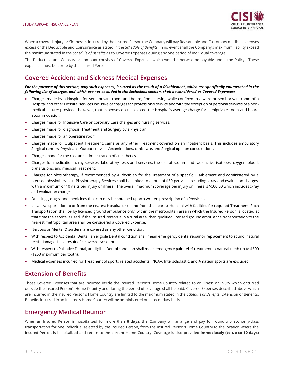

When a covered Injury or Sickness is incurred by the Insured Person the Company will pay Reasonable and Customary medical expenses excess of the Deductible and Coinsurance as stated in the *Schedule of Benefits*. In no event shall the Company's maximum liability exceed the maximum stated in the *Schedule of Benefits* as to Covered Expenses during any one period of individual coverage.

The Deductible and Coinsurance amount consists of Covered Expenses which would otherwise be payable under the Policy. These expenses must be borne by the Insured Person.

### <span id="page-3-0"></span>**Covered Accident and Sickness Medical Expenses**

*For the purpose of this section, only such expenses, incurred as the result of a Disablement, which are specifically enumerated in the following list of charges, and which are not excluded in the Exclusions section, shall be considered as Covered Expenses:*

- <span id="page-3-1"></span>• Charges made by a Hospital for semi-private room and board, floor nursing while confined in a ward or semi-private room of a Hospital and other Hospital services inclusive of charges for professional service and with the exception of personal services of a nonmedical nature; provided, however, that expenses do not exceed the Hospital's average charge for semiprivate room and board accommodation.
- Charges made for Intensive Care or Coronary Care charges and nursing services.
- Charges made for diagnosis, Treatment and Surgery by a Physician.
- Charges made for an operating room.
- Charges made for Outpatient Treatment, same as any other Treatment covered on an Inpatient basis. This includes ambulatory Surgical centers, Physicians' Outpatient visits/examinations, clinic care, and Surgical opinion consultations.
- Charges made for the cost and administration of anesthetics.
- Charges for medication, x-ray services, laboratory tests and services, the use of radium and radioactive isotopes, oxygen, blood, transfusions, and medical Treatment.
- Charges for physiotherapy, if recommended by a Physician for the Treatment of a specific Disablement and administered by a licensed physiotherapist. Physiotherapy Services shall be limited to a total of \$50 per visit, excluding x-ray and evaluation charges, with a maximum of 10 visits per injury or illness. The overall maximum coverage per injury or illness is \$500.00 which includes x-ray and evaluation charges.
- Dressings, drugs, and medicines that can only be obtained upon a written prescription of a Physician.
- Local transportation to or from the nearest Hospital or to and from the nearest Hospital with facilities for required Treatment. Such Transportation shall be by licensed ground ambulance only, within the metropolitan area in which the Insured Person is located at that time the service is used. If the Insured Person is in a rural area, then qualified licensed ground ambulance transportation to the nearest metropolitan area shall be considered a Covered Expense.
- Nervous or Mental Disorders: are covered as any other condition.
- With respect to Accidental Dental, an eligible Dental condition shall mean emergency dental repair or replacement to sound, natural teeth damaged as a result of a covered Accident.
- With respect to Palliative Dental, an eligible Dental condition shall mean emergency pain relief treatment to natural teeth up to \$500 (\$250 maximum per tooth).
- Medical expenses incurred for Treatment of sports related accidents. NCAA, Interscholastic, and Amateur sports are excluded.

### **Extension of Benefits**

Those Covered Expenses that are incurred inside the Insured Person's Home Country related to an Illness or Injury which occurred outside the Insured Person's Home Country and during the period of coverage shall be paid. Covered Expenses described above which are incurred in the Insured Person's Home Country are limited to the maximum stated in the *Schedule of Benefits*, Extension of Benefits. Benefits incurred in an Insured's Home Country will be administered on a secondary basis.

### <span id="page-3-2"></span>**Emergency Medical Reunion**

When an Insured Person is hospitalized for more than **6 days**, the Company will arrange and pay for round-trip economy-class transportation for one individual selected by the Insured Person, from the Insured Person's Home Country to the location where the Insured Person is hospitalized and return to the current Home Country. Coverage is also provided **immediately (to up to 10 days)**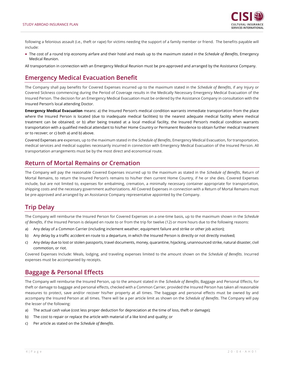

following a felonious assault (i.e., theft or rape) for victims needing the support of a family member or friend. The benefits payable will include:

• The cost of a round trip economy airfare and their hotel and meals up to the maximum stated in the *Schedule of Benefits*, Emergency Medical Reunion.

All transportation in connection with an Emergency Medical Reunion must be pre-approved and arranged by the Assistance Company.

### **Emergency Medical Evacuation Benefit**

The Company shall pay benefits for Covered Expenses incurred up to the maximum stated in the *Schedule of Benefits*, if any Injury or Covered Sickness commencing during the Period of Coverage results in the Medically Necessary Emergency Medical Evacuation of the Insured Person. The decision for an Emergency Medical Evacuation must be ordered by the Assistance Company in consultation with the Insured Person's local attending Doctor.

**Emergency Medical Evacuation** means: a) the Insured Person's medical condition warrants immediate transportation from the place where the Insured Person is located (due to inadequate medical facilities) to the nearest adequate medical facility where medical treatment can be obtained; or b) after being treated at a local medical facility, the Insured Person's medical condition warrants transportation with a qualified medical attendant to his/her Home Country or Permanent Residence to obtain further medical treatment or to recover; or c) both a) and b) above.

Covered Expenses are expenses, up to the maximum stated in the *Schedule of Benefits*, Emergency Medical Evacuation, for transportation, medical services and medical supplies necessarily incurred in connection with Emergency Medical Evacuation of the Insured Person. All transportation arrangements must be by the most direct and economical route.

### **Return of Mortal Remains or Cremation**

The Company will pay the reasonable Covered Expenses incurred up to the maximum as stated in the *Schedule of Benefits*, Return of Mortal Remains, to return the Insured Person's remains to his/her then current Home Country, if he or she dies. Covered Expenses include, but are not limited to, expenses for embalming, cremation, a minimally necessary container appropriate for transportation, shipping costs and the necessary government authorizations. All Covered Expenses in connection with a Return of Mortal Remains must be pre-approved and arranged by an Assistance Company representative appointed by the Company.

### <span id="page-4-0"></span>**Trip Delay**

The Company will reimburse the Insured Person for Covered Expenses on a one-time basis, up to the maximum shown in the *Schedule of Benefits*, if the Insured Person is delayed en route to or from the trip for twelve (12) or more hours due to the following reasons:

- a) Any delay of a Common Carrier (including inclement weather, equipment failure and strike or other job action);
- b) Any delay by a traffic accident en route to a departure, in which the Insured Person is directly or not directly involved;
- c) Any delay due to lost or stolen passports, travel documents, money, quarantine, hijacking, unannounced strike, natural disaster, civil commotion, or riot.

Covered Expenses Include: Meals, lodging, and traveling expenses limited to the amount shown on the *Schedule of Benefits*. Incurred expenses must be accompanied by receipts.

### <span id="page-4-1"></span>**Baggage & Personal Effects**

The Company will reimburse the Insured Person, up to the amount stated in the *Schedule of Benefits*, Baggage and Personal Effects, for theft or damage to baggage and personal effects, checked with a Common Carrier, provided the Insured Person has taken all reasonable measures to protect, save and/or recover his/her property at all times. The baggage and personal effects must be owned by and accompany the Insured Person at all times. There will be a per article limit as shown on the *Schedule of Benefits*. The Company will pay the lesser of the following:

- a) The actual cash value (cost less proper deduction for depreciation at the time of loss, theft or damage);
- b) The cost to repair or replace the article with material of a like kind and quality; or
- c) Per article as stated on the *Schedule of Benefits*.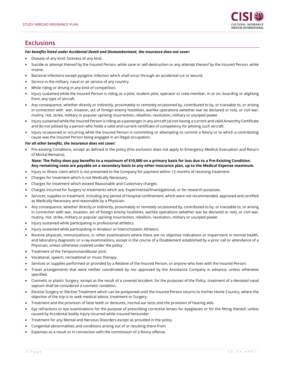

### **Exclusions**

#### *For benefits listed under Accidental Death and Dismemberment, the insurance does not cover:*

- Disease of any kind; Sickness of any kind.
- Suicide or attempt thereof by the Insured Person, while sane or self-destruction or any attempt thereof by the Insured Person, while insane.
- Bacterial infections except pyogenic infection which shall occur through an accidental cut or wound.
- Service in the military, naval or air service of any country.
- While riding or driving in any kind of competition.
- Injury sustained while the Insured Person is riding as a pilot, student pilot, operator or crew member, in or on, boarding or alighting from, any type of aircraft.
- Any consequence, whether directly or indirectly, proximately or remotely occasioned by, contributed to by, or traceable to, or arising in connection with war, invasion, act of foreign enemy hostilities, warlike operations (whether war be declared or not), or civil war; mutiny, riot, strike, military or popular uprising insurrection, rebellion, revolution, military or usurped power.
- Injury sustained while the Insured Person is riding as a passenger in any aircraft (a) not having a current and valid Airworthy Certificate and (b) not piloted by a person who holds a valid and current certificate of competency for piloting such aircraft.
- Injury occasioned or occurring while the Insured Person is committing or attempting to commit a felony or to which a contributing cause was the Insured Person being engaged in an illegal occupation.

#### *For all other benefits, the Insurance does not cover:*

• Pre-existing Conditions, except as defined in the policy (this exclusion does not apply to Emergency Medical Evacuation and Return of Mortal Remains).

#### **Note: The Policy does pay benefits to a maximum of \$10,000 on a primary basis for loss due to a Pre-Existing Condition. Any remaining costs are payable on a secondary basis to any other insurance plan, up to the Medical Expense maximum.**

- Injury or Illness claim which is not presented to the Company for payment within 12 months of receiving treatment.
- Charges for treatment which is not Medically Necessary.
- Charges for treatment which exceed Reasonable and Customary charges.
- Charges incurred for Surgery or treatments which are, Experimental/Investigational, or for research purposes.
- Services, supplies or treatment, including any period of Hospital confinement, which were not recommended, approved and certified as Medically Necessary and reasonable by a Physician.
- Any consequence, whether directly or indirectly, proximately or remotely occasioned by, contributed to by, or traceable to, or arising in connection with war, invasion, act of foreign enemy hostilities, warlike operations (whether war be declared or not), or civil war; mutiny, riot, strike, military or popular uprising insurrection, rebellion, revolution, military or usurped power.
- Injury sustained while participating in professional athletics.
- Injury sustained while participating in Amateur or Interscholastic Athletics.
- Routine physicals, immunizations, or other examinations where there are no objective indications or impairment in normal health, and laboratory diagnostic or x-ray examinations, except in the course of a Disablement established by a prior call or attendance of a Physician, unless otherwise covered under the policy.
- Treatment of the Temporomandibular joint.
- Vocational, speech, recreational or music therapy.
- Services or supplies performed or provided by a Relative of the Insured Person, or anyone who lives with the Insured Person.
- Travel arrangements that were neither coordinated by nor approved by the Assistance Company in advance, unless otherwise specified.
- Cosmetic or plastic Surgery, except as the result of a covered Accident; for the purposes of the Policy, treatment of a deviated nasal septum shall be considered a cosmetic condition.
- Elective Surgery or Elective Treatment which can be postponed until the Insured Person returns to his/her Home Country, where the objective of the trip is to seek medical advice, treatment or Surgery.
- Treatment and the provision of false teeth or dentures, normal ear tests and the provision of hearing aids.
- Eye refractions or eye examinations for the purpose of prescribing corrective lenses for eyeglasses or for the fitting thereof, unless caused by Accidental bodily Injury incurred while insured hereunder.
- Treatment for any Mental and Nervous Disorders except as provided in the policy.
- Congenital abnormalities and conditions arising out of or resulting there from.
- Expenses as a result or in connection with the commission of a felony offense.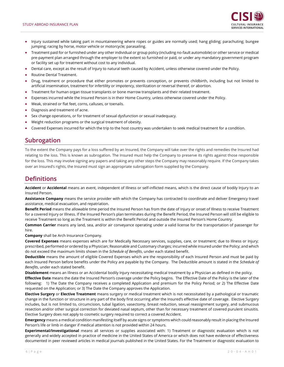

- Injury sustained while taking part in mountaineering where ropes or guides are normally used; hang gliding; parachuting; bungee jumping; racing by horse, motor vehicle or motorcycle; parasailing.
- Treatment paid for or furnished under any other individual or group policy (including no-fault automobile) or other service or medical pre-payment plan arranged through the employer to the extent so furnished or paid, or under any mandatory government program or facility set up for treatment without cost to any individual.
- Dental care, except as the result of Injury to natural teeth caused by Accident, unless otherwise covered under the Policy.
- Routine Dental Treatment.
- Drug, treatment or procedure that either promotes or prevents conception, or prevents childbirth, including but not limited to artificial insemination, treatment for infertility or impotency, sterilization or reversal thereof, or abortion.
- Treatment for human organ tissue transplants or bone marrow transplants and their related treatment.
- Expenses incurred while the Insured Person is in their Home Country, unless otherwise covered under the Policy.
- Weak, strained or flat feet, corns, calluses, or toenails.
- Diagnosis and treatment of acne.
- Sex change operations, or for treatment of sexual dysfunction or sexual inadequacy.
- Weight reduction programs or the surgical treatment of obesity.
- Covered Expenses incurred for which the trip to the host country was undertaken to seek medical treatment for a condition.

### **Subrogation**

To the extent the Company pays for a loss suffered by an Insured, the Company will take over the rights and remedies the Insured had relating to the loss. This is known as subrogation. The Insured must help the Company to preserve its rights against those responsible for the loss. This may involve signing any papers and taking any other steps the Company may reasonably require. If the Company takes over an Insured's rights, the Insured must sign an appropriate subrogation form supplied by the Company.

### **Definitions**

**Accident** or **Accidental** means an event, independent of Illness or self-inflicted means, which is the direct cause of bodily Injury to an Insured Person.

**Assistance Company** means the service provider with which the Company has contracted to coordinate and deliver Emergency travel assistance, medical evacuation, and repatriation.

**Benefit Period** means the allowable time period the Insured Person has from the date of Injury or onset of Illness to receive Treatment for a covered Injury or Illness. If the Insured Person's plan terminates during the Benefit Period, the Insured Person will still be eligible to receive Treatment so long as the Treatment is within the Benefit Period and outside the Insured Person's Home Country.

**Common Carrier** means any land, sea, and/or air conveyance operating under a valid license for the transportation of passenger for hire.

**Company** shall be Arch Insurance Company.

**Covered Expenses** means expenses which are for Medically Necessary services, supplies, care, or treatment; due to Illness or Injury; prescribed, performed or ordered by a Physician; Reasonable and Customary charges; incurred while insured under the Policy; and which do not exceed the maximum limits shown in the *Schedule of Benefits*, under each stated benefit.

**Deductible** means the amount of eligible Covered Expenses which are the responsibility of each Insured Person and must be paid by each Insured Person before benefits under the Policy are payable by the Company. The Deductible amount is stated in the *Schedule of Benefits*, under each stated benefit.

**Disablement** means an Illness or an Accidental bodily Injury necessitating medical treatment by a Physician as defined in the policy.

**Effective Date** means the date the Insured Person's coverage under the Policy begins. The Effective Date of the Policy is the later of the following: 1) The Date the Company receives a completed Application and premium for the Policy Period; or 2) The Effective Date requested on the Application; or 3) The Date the Company approves the Application.

**Elective Surgery** or **Elective Treatment** means surgery or medical treatment which is not necessitated by a pathological or traumatic change in the function or structure in any part of the body first occurring after the Insured's effective date of coverage. Elective Surgery includes, but is not limited to, circumcision, tubal ligation, vasectomy, breast reduction, sexual reassignment surgery, and submucous resection and/or other surgical correction for deviated nasal septum, other than for necessary treatment of covered purulent sinusitis. Elective Surgery does not apply to cosmetic surgery required to correct a covered Accident.

**Emergency** means a medical condition manifesting itself by acute signs or symptoms which could reasonably result in placing the Insured Person's life or limb in danger if medical attention is not provided within 24 hours.

**Experimental/Investigational** means all services or supplies associated with: 1) Treatment or diagnostic evaluation which is not generally and widely accepted in practice of medicine in the United States of America or which does not have evidence of effectiveness documented in peer reviewed articles in medical journals published in the United States. For the Treatment or diagnostic evaluation to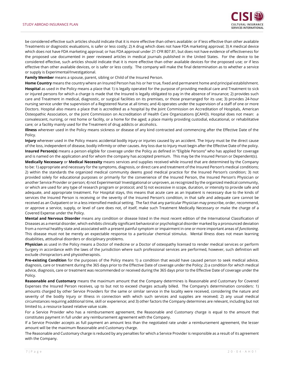

be considered effective such articles should indicate that it is more effective than others available: or if less effective than other available Treatments or diagnostic evaluations, is safer or less costly; 2) A drug which does not have FDA marketing approval; 3) A medical device which does not have FDA marketing approval; or has FDA approval under 21 CFR 807.81, but does not have evidence of effectiveness for the proposed use documented in peer reviewed articles in medical journals published in the United States. For the device to be considered effective, such articles should indicate that it is more effective than other available devices for the proposed use; or if less effective than other available devices, or is safer or less costly. The company will make the final determination as to whether a service or supply is Experimental/Investigational.

**Family Member** means a spouse, parent, sibling or Child of the Insured Person.

**Home Country** means the country where an Insured Person has his or her true, fixed and permanent home and principal establishment. **Hospital** as used in the Policy means a place that 1) is legally operated for the purpose of providing medical care and Treatment to sick or injured persons for which a charge is made that the Insured is legally obligated to pay in the absence of insurance; 2) provides such care and Treatment in medical, diagnostic, or surgical facilities on its premises, or those prearranged for its use; 3) provides 24-hour nursing service under the supervision of a Registered Nurse at all times; and 4) operates under the supervision of a staff of one or more Doctors. Hospital also means a place that is accredited as a hospital by the Joint Commission on Accreditation of Hospitals, American Osteopathic Association, or the Joint Commission on Accreditation of Health Care Organizations (JCAHO). Hospital does not mean: a convalescent, nursing, or rest home or facility, or a home for the aged; a place mainly providing custodial, educational, or rehabilitative care; or a facility mainly used for the Treatment of drug addicts or alcoholics.

**Illness** wherever used in the Policy means sickness or disease of any kind contracted and commencing after the Effective Date of the Policy.

**Injury** wherever used in the Policy means accidental bodily injury or injuries caused by an accident. The Injury must be the direct cause of the loss, independent of disease, bodily infirmity or other causes. Any loss due to Injury must begin after the Effective Date of the policy. **Insured Person(s)** means a person eligible for coverage under the Policy as defined in "Eligible Persons" who has applied for coverage and is named on the application and for whom the company has accepted premium. This may be the Insured Person or Dependent(s).

**Medically Necessary** or **Medical Necessity** means services and supplies received while insured that are determined by the Company to be: 1) appropriate and necessary for the symptoms, diagnosis, or direct care and treatment of the Insured Person's medical conditions; 2) within the standards the organized medical community deems good medical practice for the Insured Person's condition; 3) not provided solely for educational purposes or primarily for the convenience of the Insured Person, the Insured Person's Physician or another Service Provider or person; 4) not Experimental/ Investigational or unproven, as recognized by the organized medical community, or which are used for any type of research program or protocol; and 5) not excessive in scope, duration, or intensity to provide safe and adequate, and appropriate treatment. For Hospital stays, this means that acute care as an Inpatient is necessary due to the kinds of services the Insured Person is receiving or the severity of the Insured Person's condition, in that safe and adequate care cannot be received as an Outpatient or in a less intensified medical setting. The fact that any particular Physician may prescribe, order, recommend, or approve a service, supply, or level of care does not, of itself, make such Treatment Medically Necessary or make the charge of a Covered Expense under the Policy.

**Mental and Nervous Disorder** means any condition or disease listed in the most recent edition of the International Classification of Diseases as a mental disorder, which exhibits clinically significant behavioral or psychological disorder marked by a pronounced deviation from a normal healthy state and associated with a present painful symptom or impairment in one or more important areas of *functioning*. This disease must not be merely an expectable response to a particular chemical stimulus. Mental Illness does not mean learning disabilities, attitudinal disorders or disciplinary problems.

**Physician** as used in the Policy means a Doctor of medicine or a Doctor of osteopathy licensed to render medical services or perform Surgery in accordance with the laws of the jurisdiction where such professional services are performed, however, such definition will exclude chiropractors and physiotherapists.

**Pre-existing Condition** for the purposes of the Policy means 1) a condition that would have caused person to seek medical advice, diagnosis, care or treatment during the 365 days prior to the Effective Date of coverage under the Policy; 2) a condition for which medical advice, diagnosis, care or treatment was recommended or received during the 365 days prior to the Effective Date of coverage under the Policy.

**Reasonable and Customary** means the maximum amount that the Company determines is Reasonable and Customary for Covered Expenses the Insured Person receives, up to but not to exceed charges actually billed. The Company's determination considers: 1) amounts charged by other Service Providers for the same or similar service in the locality were received, considering the nature and severity of the bodily Injury or Illness in connection with which such services and supplies are received; 2) any usual medical circumstances requiring additional time, skill or experience; and 3) other factors the Company determines are relevant, including but not limited to, a resource based relative value scale.

For a Service Provider who has a reimbursement agreement, the Reasonable and Customary charge is equal to the amount that constitutes payment in full under any reimbursement agreement with the Company.

If a Service Provider accepts as full payment an amount less than the negotiated rate under a reimbursement agreement, the lesser amount will be the maximum Reasonable and Customary charge.

The Reasonable and Customary charge is reduced by any penalties for which a Service Provider is responsible as a result of its agreement with the Company.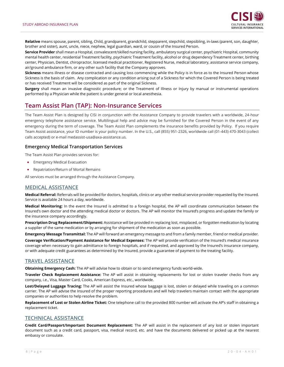

**Relative** means spouse, parent, sibling, Child, grandparent, grandchild, stepparent, stepchild, stepsibling, in-laws (parent, son, daughter, brother and sister), aunt, uncle, niece, nephew, legal guardian, ward, or cousin of the Insured Person.

**Service Provider** shall mean a Hospital, convalescent/skilled nursing facility, ambulatory surgical center, psychiatric Hospital, community mental health center, residential Treatment facility, psychiatric Treatment facility, alcohol or drug dependency Treatment center, birthing center, Physician, Dentist, chiropractor, licensed medical practitioner, Registered Nurse, medical laboratory, assistance service company, air/ground ambulance firm, or any other such facility that the Company approves.

**Sickness** means illness or disease contracted and causing loss commencing while the Policy is in force as to the Insured Person whose Sickness is the basis of claim. Any complication or any condition arising out of a Sickness for which the Covered Person is being treated or has received Treatment will be considered as part of the original Sickness.

**Surgery** shall mean an invasive diagnostic procedure; or the Treatment of Illness or Injury by manual or instrumental operations performed by a Physician while the patient is under general or local anesthesia.

### <span id="page-8-0"></span>**Team Assist Plan (TAP): Non-Insurance Services**

The Team Assist Plan is designed by CISI in conjunction with the Assistance Company to provide travelers with a worldwide, 24-hour emergency telephone assistance service. Multilingual help and advice may be furnished for the Covered Person in the event of any emergency during the term of coverage. The Team Assist Plan complements the insurance benefits provided by Policy. If you require Team Assist assistance, your ID number is your policy number. In the U.S., call (855) 951-2326, worldwide call (01-443) 470-3043 (collect calls accepted) or e-mail medassist-usa@axa-assistance.us.

### **Emergency Medical Transportation Services**

The Team Assist Plan provides services for:

- Emergency Medical Evacuation
- Repatriation/Return of Mortal Remains

All services must be arranged through the Assistance Company.

### **MEDICAL ASSISTANCE**

**Medical Referral:** Referrals will be provided for doctors, hospitals, clinics or any other medical service provider requested by the Insured. Service is available 24 hours a day, worldwide.

**Medical Monitoring:** In the event the Insured is admitted to a foreign hospital, the AP will coordinate communication between the Insured's own doctor and the attending medical doctor or doctors. The AP will monitor the Insured's progress and update the family or the insurance company accordingly.

**Prescription Drug Replacement/Shipment:** Assistance will be provided in replacing lost, misplaced, or forgotten medication by locating a supplier of the same medication or by arranging for shipment of the medication as soon as possible.

**Emergency Message Transmittal:** The AP will forward an emergency message to and from a family member, friend or medical provider.

**Coverage Verification/Payment Assistance for Medical Expenses:** The AP will provide verification of the Insured's medical insurance coverage when necessary to gain admittance to foreign hospitals, and if requested, and approved by the Insured's insurance company, or with adequate credit guarantees as determined by the Insured, provide a guarantee of payment to the treating facility.

### **TRAVEL ASSISTANCE**

**Obtaining Emergency Cash:** The AP will advise how to obtain or to send emergency funds world-wide.

**Traveler Check Replacement Assistance:** The AP will assist in obtaining replacements for lost or stolen traveler checks from any company, i.e., Visa, Master Card, Cooks, American Express, etc., worldwide.

**Lost/Delayed Luggage Tracing:** The AP will assist the Insured whose baggage is lost, stolen or delayed while traveling on a common carrier. The AP will advise the Insured of the proper reporting procedures and will help travelers maintain contact with the appropriate companies or authorities to help resolve the problem.

**Replacement of Lost or Stolen Airline Ticket:** One telephone call to the provided 800 number will activate the AP's staff in obtaining a replacement ticket.

### **TECHNICAL ASSISTANCE**

**Credit Card/Passport/Important Document Replacement:** The AP will assist in the replacement of any lost or stolen important document such as a credit card, passport, visa, medical record, etc. and have the documents delivered or picked up at the nearest embassy or consulate.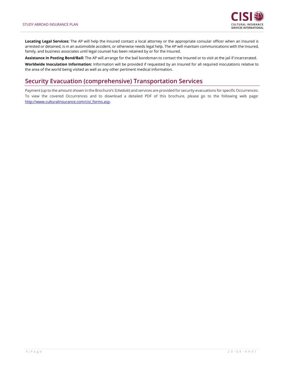

**Locating Legal Services:** The AP will help the Insured contact a local attorney or the appropriate consular officer when an Insured is arrested or detained, is in an automobile accident, or otherwise needs legal help. The AP will maintain communications with the Insured, family, and business associates until legal counsel has been retained by or for the Insured.

**Assistance in Posting Bond/Bail:** The AP will arrange for the bail bondsman to contact the Insured or to visit at the jail if incarcerated.

**Worldwide Inoculation Information:** Information will be provided if requested by an Insured for all required inoculations relative to the area of the world being visited as well as any other pertinent medical information.

### **Security Evacuation (comprehensive) Transportation Services**

Payment (up to the amount shown in the Brochure's *Schedule*) and services are provided for security evacuations for specific Occurrences. To view the covered Occurrences and to download a detailed PDF of this brochure, please go to the following web page: [http://www.culturalinsurance.com/cisi\\_forms.asp.](http://www.culturalinsurance.com/cisi_forms.asp)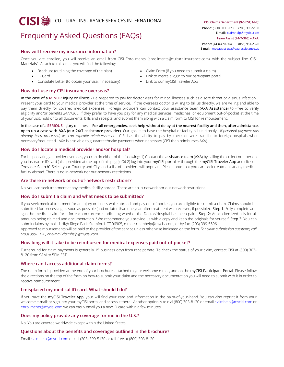## Frequently Asked Questions (FAQs)

#### **How will I receive my insurance information?**

Once you are enrolled, you will receive an email from CISI Enrollments (enrollments@culturalinsurance.com), with the subject line 'CISI Materials'. Attach to this email you will find the following:

- Brochure (outlining the coverage of the plan) Claim Form (if you need to submit a claim)
- 
- Consulate Letter (to obtain your visa, if necessary) Link to our myCISI Traveler App

### **[How do I use my CISI insurance overseas?](https://www.culturalinsurance.com/students/faq.asp#collapse7)**

- 
- ID Card Link to create a login to our participant portal
	-

In the case of a **MINOR** injury or illness - Be prepared to pay for doctor visits for minor illnesses such as a sore throat or a sinus infection. Present your card to your medical provider at the time of service. If the overseas doctor is willing to bill us directly, we are willing and able to pay them directly for covered medical expenses. Foreign providers can contact your assistance team (AXA Assistance) toll-free to verify eligibility and/or benefits 24/7/365. If they prefer to have you pay for any medical services, medicines, or equipment out-of-pocket at the time of your visit, hold onto all documents, bills and receipts, and submit them along with a claim form to CISI for reimbursement.

In the case of a **SERIOUS** injury or illness - **For all emergencies, seek help without delay at the nearest facility and then, after admittance, open up a case with AXA (our 24/7 assistance provider).** Our goal is to have the hospital or facility bill us directly. *If personal payment has already been processed, we can expedite reimbursement.* CISI has the ability to pay by check or wire transfer to foreign hospitals when necessary/requested. AXA is also able to guarantee/make payments when necessary (CISI then reimburses AXA).

#### **[How do I locate a medical provider and/or hospital?](https://www.culturalinsurance.com/students/faq.asp#collapse18)**

For help locating a provider overseas, you can do either of the following: 1) Contact the assistance team (AXA) by calling the collect number on you insurance ID card (also provided at the top of this page); *OR* 2) log into your myCISI portal *or* through the myCISI Traveler App and click on 'Provider Search'. Select your Country and City, and a list of providers will populate. Please note that you can seek treatment at any medical facility abroad. There is no in-network nor out-network restrictions.

#### **[Are there in-network or out-of-network restrictions?](https://www.culturalinsurance.com/students/faq.asp#collapse9)**

No, you can seek treatment at any medical facility abroad. There are no in-network nor out-network restrictions.

### **How do I submit a claim and what needs to be submitted?**

If you seek medical treatment for an Injury or Illness while abroad and pay out-of-pocket, you are eligible to submit a claim. Claims should be submitted for processing as soon as possible (and no later than one year after treatment was received, if possible). Step 1: Fully complete and sign the medical claim form for each occurrence, indicating whether the Doctor/Hospital has been paid. Step 2: Attach itemized bills for all amounts being claimed and documentation. \*We recommend you provide us with a copy and keep the originals for yourself. Step 3: You can submit claims by mail: 1 High Ridge Park, Stamford, CT 06905, e-mail[: claimhelp@mycisi.com,](mailto:claimhelp@mycisi.com) or by fax: (203) 399-5596.

Approved reimbursements will be paid to the provider of the service unless otherwise indicated on the form. *For claim submission questions, call (203) 399-5130, or e-mail [claimhelp@mycisi.com.](mailto:claimhelp@mycisi.com)*

### **[How long will it take to be reimbursed for medical expenses paid out-of-pocket?](https://www.culturalinsurance.com/students/faq.asp#collapse9)**

Turnaround for claim payments is generally 15 business days from receipt date. To check the status of your claim, contact CISI at (800) 303- 8120 from 9AM to 5PM EST.

#### **[Where can I access additional claim forms?](https://www.culturalinsurance.com/students/faq.asp#collapse11)**

The claim form is provided at the end of your brochure, attached to your welcome e-mail, and on the myCISI Participant Portal. Please follow the directions on the top of the form on how-to submit your claim and the necessary documentation you will need to submit with it in order to receive reimbursement.

### **[I misplaced my medical ID card. What should I do?](https://www.culturalinsurance.com/students/faq.asp#collapse22)**

If you have the myCISI Traveler App, your will find your card and information in the palm-of-your-hand. You can also reprint it from your welcome e-mail; or sign into your myCISI portal and access it there. Another option is to dial (800) 303-8120 or emai[l claimhelp@mycisi.com](mailto:claimhelp@mycisi.com) or [enrollments@mycisi.com w](mailto:enrollments@mycisi.com)e can easily email you a new ID card within a few minutes.

#### **[Does my policy provide any coverage for me in the U.S.?](https://www.culturalinsurance.com/students/faq.asp#collapse8)**

No. You are covered worldwide except within the United States.

### **Questions about the benefits and coverages outlined in the brochure?**

Emai[l claimhelp@mycisi.com](mailto:claimhelp@mycisi.com) or call (203) 399-5130 or toll-free at (800) 303-8120.

**CISI Claims Department (9-5 EST, M-F): Phone:** (800) 303-8120 | (203) 399-5130 **E-mail:** [claimhelp@mycisi.com](mailto:claimhelp@mycisi.com) **Team Assist (24/7/365) – AXA: Phone:** (443) 470-3043 | (855) 951-2326

**E-mail:** [medassist-usa@axa-assistance.us](mailto:medassist-usa@axa-assistance.us)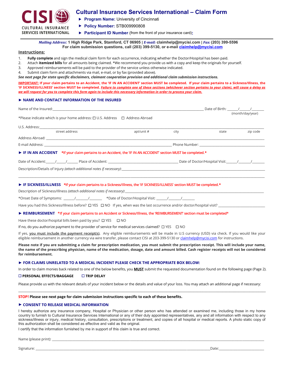

### **Cultural Insurance Services International – Claim Form**

- **Program Name:** University of Cincinnati
- **Policy Number:** STB009990808
- **Participant ID Number** (from the front of your insurance card)**:**

*Mailing Address:* **1 High Ridge Park, Stamford, CT 06905 |** *E-mail:* **claimhelp@mycisi.com |** *Fax:* **(203) 399-5596 For claim submission questions, call (203) 399-5130, or e-mai[l claimhelp@mycisi.com](mailto:claimhelp@mycisi.com)**

#### **Instructions:**

- 1. **Fully complete** and sign the medical claim form for each occurrence, indicating whether the Doctor/Hospital has been paid.
- 2. Attach **itemized bills** for all amounts being claimed. \*We recommend you provide us with a copy and keep the originals for yourself.
- 3. Approved reimbursements will be paid to the provider of the service unless otherwise indicated.
- 4. Submit claim form and attachments via mail, e-mail, or by fax (provided above).

*See next page for state specific disclaimers, claimant cooperation provision and additional claim submission instructions.*

**IMPORTANT: If your claim pertains to an Accident, the 'IF IN AN ACCIDENT' section MUST be completed. If your claim pertains to a Sickness/Illness, the 'IF SICKNESS/ILLNESS' section MUST be completed.** *Failure to complete one of these sections (whichever section pertains to your claim), will cause a delay as we will request for you to complete this form again to include this necessary information in order to process your claim.* 

#### ► **NAME AND CONTACT INFORMATION OF THE INSURED**

|                                                                                                                            |            |      |       | Date of Birth: / / |  |
|----------------------------------------------------------------------------------------------------------------------------|------------|------|-------|--------------------|--|
| *Please indicate which is your home address: □ U.S. Address □ Address Abroad                                               |            |      |       | (month/day/year)   |  |
|                                                                                                                            |            |      |       |                    |  |
| street address                                                                                                             | apt/unit # | city | state | zip code           |  |
|                                                                                                                            |            |      |       |                    |  |
|                                                                                                                            |            |      |       |                    |  |
| FIN AN ACCIDENT *If your claim pertains to an Accident, the 'IF IN AN ACCIDENT' section MUST be completed.*                |            |      |       |                    |  |
|                                                                                                                            |            |      |       |                    |  |
|                                                                                                                            |            |      |       |                    |  |
|                                                                                                                            |            |      |       |                    |  |
| ► IF SICKNESS/ILLNESS *If your claim pertains to a Sickness/Illness, the 'IF SICKNESS/ILLNESS' section MUST be completed.* |            |      |       |                    |  |
|                                                                                                                            |            |      |       |                    |  |

\*Onset Date of Symptoms: \_\_\_\_\_\_\_/\_\_\_\_\_\_\_\_/\_\_\_\_\_\_\_\_ \*Date of Doctor/Hospital Visit: \_\_\_\_\_\_\_/\_\_\_\_\_\_\_\_/\_\_\_\_\_\_\_\_

Have you had this Sickness/Illness before?  $\Box$  YES  $\Box$  NO If yes, when was the last occurrence and/or doctor/hospital visit?

#### ► **REIMBURSEMENT \*If your claim pertains to an Accident or Sickness/Illness, the 'REIMBURSEMENT' section must be completed\***

Have these doctor/hospital bills been paid by you?  $\Box$  YES  $\Box$  NO

If no, do you authorize payment to the provider of service for medical services claimed?  $\Box$  YES  $\Box$  NO

If yes, you must include the payment receipt(s). Any eligible reimbursements will be made in U.S currency (USD) via check. If you would like your eligible reimbursement in another currency via wire trans[f](mailto:claimhelp@mycisi.com)er, please contact CISI at 203-399-5130 or claimhelp@mycisi.com for instructions.

**Please note if you are submitting a claim for prescription medication, you must submit the prescription receipt. This will include your name, the name of the prescribing physician, name of the medication, dosage, date and amount billed. Cash register receipts will not be considered for reimbursement.** 

#### **► FOR CLAIMS UNRELATED TO A MEDICAL INCIDENT PLEASE CHECK THE APPROPRIATE BOX BELOW:**

In order to claim monies back related to one of the below benefits, you **MUST** submit the requested documentation found on the following page (Page 2).

#### **PERSONAL EFFECTS/BAGGAGE TRIP DELAY**

Please provide us with the relevant details of your incident below or the details and value of your loss. You may attach an additional page if necessary: \_\_\_\_\_\_\_\_\_\_\_\_\_\_\_\_\_\_\_\_\_\_\_\_\_\_\_\_\_\_\_\_\_\_\_\_\_\_\_\_\_\_\_\_\_\_\_\_\_\_\_\_\_\_\_\_\_\_\_\_\_\_\_\_\_\_\_\_\_\_\_\_\_\_\_\_\_\_\_\_\_\_\_\_\_\_\_\_\_\_\_\_\_\_\_\_\_\_\_\_\_\_\_\_\_\_\_\_\_\_\_\_\_\_\_\_\_\_\_\_\_\_\_\_\_\_\_\_\_\_\_\_\_\_\_\_\_

#### **STOP! Please see next page for claim submission instructions specific to each of these benefits.**

#### ► **CONSENT TO RELEASE MEDICAL INFORMATION**

I hereby authorize any insurance company, Hospital or Physician or other person who has attended or examined me, including those in my home country to furnish to Cultural Insurance Services International or any of their duly appointed representatives, any and all information with respect to any sickness/illness or injury, medical history, consultation, prescriptions or treatment, and copies of all hospital or medical reports. A photo static copy of this authorization shall be considered as effective and valid as the original.

I certify that the information furnished by me in support of this claim is true and correct.

Name (please print):

Signature: \_\_\_\_\_\_\_\_\_\_\_\_\_\_\_\_\_\_\_\_\_\_\_\_\_\_\_\_\_\_\_\_\_\_\_\_\_\_\_\_\_\_\_\_\_\_\_\_\_\_\_\_\_\_\_\_\_\_\_\_\_\_\_\_\_\_\_\_\_\_\_\_\_\_\_\_\_\_\_\_\_\_\_\_\_\_\_\_\_\_\_\_\_\_\_\_\_\_\_\_\_\_\_\_\_\_\_\_\_\_\_\_Date:\_\_\_\_\_\_\_\_\_\_\_\_\_\_\_\_\_\_\_\_\_\_\_\_\_\_\_\_\_